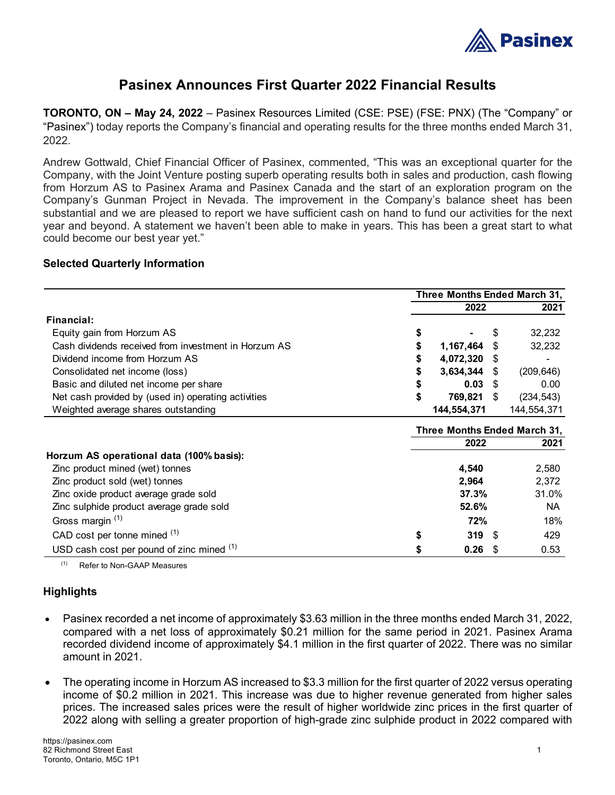

# **Pasinex Announces First Quarter 2022 Financial Results**

**TORONTO, ON – May 24, 2022** – Pasinex Resources Limited (CSE: PSE) (FSE: PNX) (The "Company" or "Pasinex") today reports the Company's financial and operating results for the three months ended March 31, 2022.

Andrew Gottwald, Chief Financial Officer of Pasinex, commented, "This was an exceptional quarter for the Company, with the Joint Venture posting superb operating results both in sales and production, cash flowing from Horzum AS to Pasinex Arama and Pasinex Canada and the start of an exploration program on the Company's Gunman Project in Nevada. The improvement in the Company's balance sheet has been substantial and we are pleased to report we have sufficient cash on hand to fund our activities for the next year and beyond. A statement we haven't been able to make in years. This has been a great start to what could become our best year yet."

## **Selected Quarterly Information**

|                                                      | Three Months Ended March 31, |             |     |             |
|------------------------------------------------------|------------------------------|-------------|-----|-------------|
|                                                      |                              | 2022        |     | 2021        |
| Financial:                                           |                              |             |     |             |
| Equity gain from Horzum AS                           |                              |             | S   | 32,232      |
| Cash dividends received from investment in Horzum AS |                              | 1,167,464   | \$  | 32,232      |
| Dividend income from Horzum AS                       |                              | 4,072,320   | S   |             |
| Consolidated net income (loss)                       | \$                           | 3,634,344   | S   | (209, 646)  |
| Basic and diluted net income per share               |                              | 0.03        | \$. | 0.00        |
| Net cash provided by (used in) operating activities  |                              | 769,821     | \$  | (234, 543)  |
| Weighted average shares outstanding                  |                              | 144,554,371 |     | 144,554,371 |
|                                                      | Three Months Ended March 31, |             |     |             |
|                                                      | 2021<br>2022                 |             |     |             |
| Horzum AS operational data (100% basis):             |                              |             |     |             |
| Zinc product mined (wet) tonnes                      |                              | 4,540       |     | 2,580       |
| Zinc product sold (wet) tonnes                       |                              | 2,964       |     | 2,372       |
| Zinc oxide product average grade sold                |                              | 37.3%       |     | 31.0%       |
| Zinc sulphide product average grade sold             |                              | 52.6%       |     | <b>NA</b>   |
| Gross margin <sup>(1)</sup>                          |                              | 72%         |     | 18%         |
| CAD cost per tonne mined (1)                         | S                            | 319         | -S  | 429         |
| USD cash cost per pound of zinc mined (1)            |                              | 0.26        | S   | 0.53        |

(1) Refer to Non-GAAP Measures

# **Highlights**

- Pasinex recorded a net income of approximately \$3.63 million in the three months ended March 31, 2022, compared with a net loss of approximately \$0.21 million for the same period in 2021. Pasinex Arama recorded dividend income of approximately \$4.1 million in the first quarter of 2022. There was no similar amount in 2021.
- The operating income in Horzum AS increased to \$3.3 million for the first quarter of 2022 versus operating income of \$0.2 million in 2021. This increase was due to higher revenue generated from higher sales prices. The increased sales prices were the result of higher worldwide zinc prices in the first quarter of 2022 along with selling a greater proportion of high-grade zinc sulphide product in 2022 compared with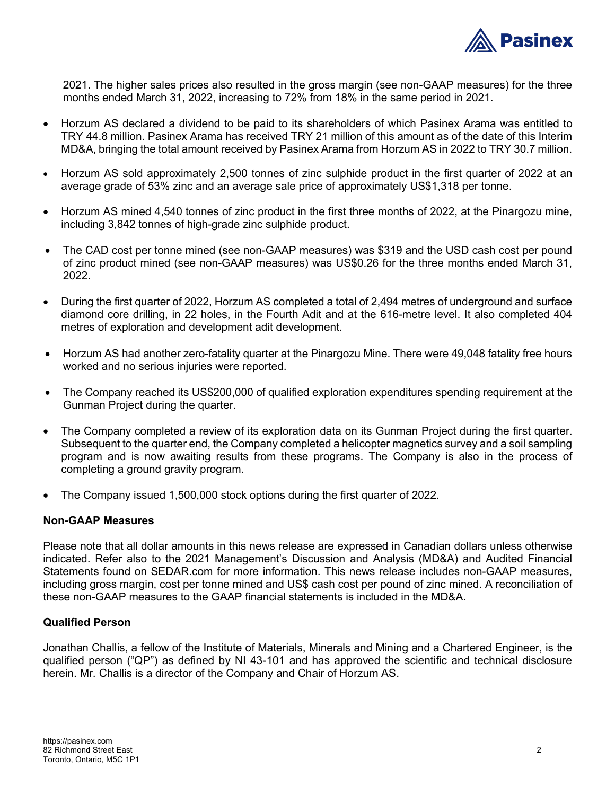

2021. The higher sales prices also resulted in the gross margin (see non-GAAP measures) for the three months ended March 31, 2022, increasing to 72% from 18% in the same period in 2021.

- Horzum AS declared a dividend to be paid to its shareholders of which Pasinex Arama was entitled to TRY 44.8 million. Pasinex Arama has received TRY 21 million of this amount as of the date of this Interim MD&A, bringing the total amount received by Pasinex Arama from Horzum AS in 2022 to TRY 30.7 million.
- Horzum AS sold approximately 2,500 tonnes of zinc sulphide product in the first quarter of 2022 at an average grade of 53% zinc and an average sale price of approximately US\$1,318 per tonne.
- Horzum AS mined 4,540 tonnes of zinc product in the first three months of 2022, at the Pinargozu mine, including 3,842 tonnes of high-grade zinc sulphide product.
- The CAD cost per tonne mined (see non-GAAP measures) was \$319 and the USD cash cost per pound of zinc product mined (see non-GAAP measures) was US\$0.26 for the three months ended March 31, 2022.
- During the first quarter of 2022, Horzum AS completed a total of 2,494 metres of underground and surface diamond core drilling, in 22 holes, in the Fourth Adit and at the 616-metre level. It also completed 404 metres of exploration and development adit development.
- Horzum AS had another zero-fatality quarter at the Pinargozu Mine. There were 49,048 fatality free hours worked and no serious injuries were reported.
- The Company reached its US\$200,000 of qualified exploration expenditures spending requirement at the Gunman Project during the quarter.
- The Company completed a review of its exploration data on its Gunman Project during the first quarter. Subsequent to the quarter end, the Company completed a helicopter magnetics survey and a soil sampling program and is now awaiting results from these programs. The Company is also in the process of completing a ground gravity program.
- The Company issued 1,500,000 stock options during the first quarter of 2022.

#### **Non-GAAP Measures**

Please note that all dollar amounts in this news release are expressed in Canadian dollars unless otherwise indicated. Refer also to the 2021 Management's Discussion and Analysis (MD&A) and Audited Financial Statements found on SEDAR.com for more information. This news release includes non-GAAP measures, including gross margin, cost per tonne mined and US\$ cash cost per pound of zinc mined. A reconciliation of these non-GAAP measures to the GAAP financial statements is included in the MD&A.

#### **Qualified Person**

Jonathan Challis, a fellow of the Institute of Materials, Minerals and Mining and a Chartered Engineer, is the qualified person ("QP") as defined by NI 43-101 and has approved the scientific and technical disclosure herein. Mr. Challis is a director of the Company and Chair of Horzum AS.